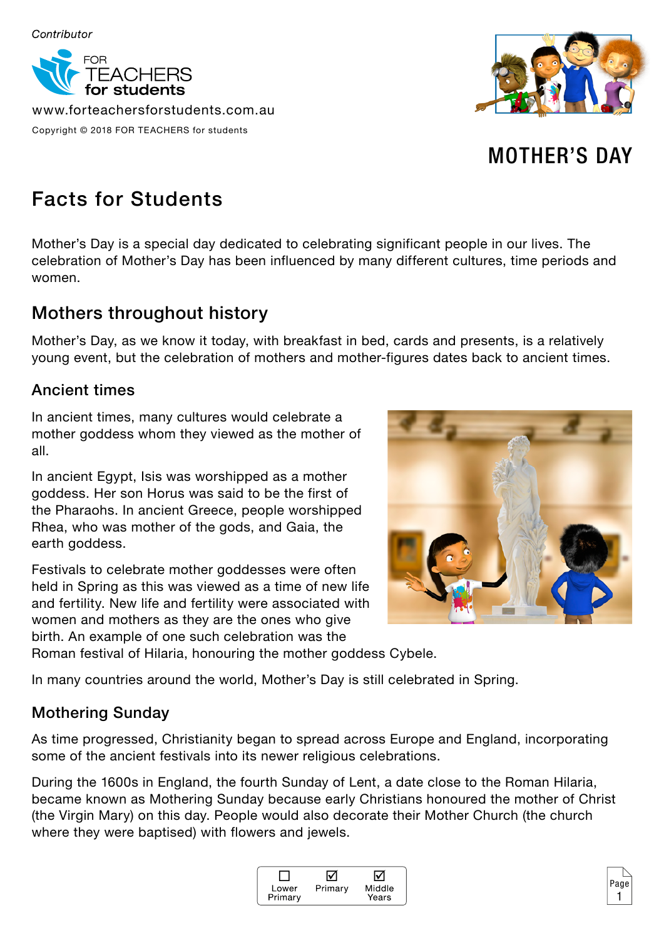

www.forteachersforstudents.com.au Copyright © 2018 FOR TEACHERS for students



# MOTHER'S DAY

# Facts for Students

Mother's Day is a special day dedicated to celebrating significant people in our lives. The celebration of Mother's Day has been influenced by many different cultures, time periods and women.

## Mothers throughout history

Mother's Day, as we know it today, with breakfast in bed, cards and presents, is a relatively young event, but the celebration of mothers and mother-figures dates back to ancient times.

### Ancient times

In ancient times, many cultures would celebrate a mother goddess whom they viewed as the mother of all.

In ancient Egypt, Isis was worshipped as a mother goddess. Her son Horus was said to be the first of the Pharaohs. In ancient Greece, people worshipped Rhea, who was mother of the gods, and Gaia, the earth goddess.

Festivals to celebrate mother goddesses were often held in Spring as this was viewed as a time of new life and fertility. New life and fertility were associated with women and mothers as they are the ones who give birth. An example of one such celebration was the



Roman festival of Hilaria, honouring the mother goddess Cybele.

In many countries around the world, Mother's Day is still celebrated in Spring.

## Mothering Sunday

As time progressed, Christianity began to spread across Europe and England, incorporating some of the ancient festivals into its newer religious celebrations.

During the 1600s in England, the fourth Sunday of Lent, a date close to the Roman Hilaria, became known as Mothering Sunday because early Christians honoured the mother of Christ (the Virgin Mary) on this day. People would also decorate their Mother Church (the church where they were baptised) with flowers and jewels.



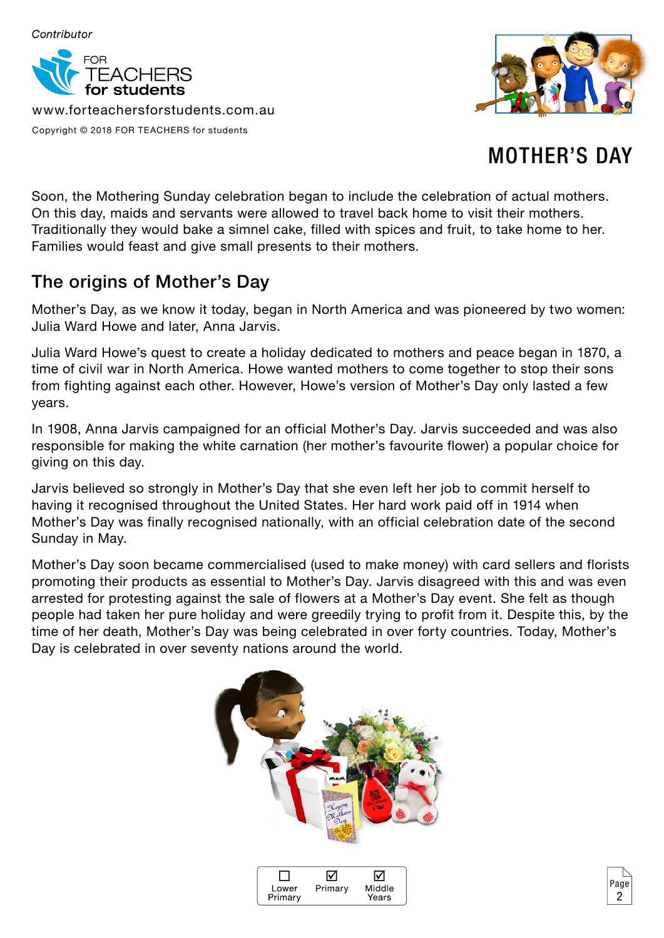

www.forteachersforstudents.com.au Copyright © 2018 FOR TEACHERS for students



# MOTHER'S DAY

2

Soon, the Mothering Sunday celebration began to include the celebration of actual mothers. On this day, maids and servants were allowed to travel back home to visit their mothers. Traditionally they would bake a simnel cake, filled with spices and fruit, to take home to her. Families would feast and give small presents to their mothers.

## The origins of Mother's Day

Mother's Day, as we know it today, began in North America and was pioneered by two women: Julia Ward Howe and later, Anna Jarvis.

Julia Ward Howe's quest to create a holiday dedicated to mothers and peace began in 1870, a time of civil war in North America. Howe wanted mothers to come together to stop their sons from fighting against each other. However, Howe's version of Mother's Day only lasted a few years.

In 1908, Anna Jarvis campaigned for an official Mother's Day. Jarvis succeeded and was also responsible for making the white carnation (her mother's favourite flower) a popular choice for giving on this day.

Jarvis believed so strongly in Mother's Day that she even left her job to commit herself to having it recognised throughout the United States. Her hard work paid off in 1914 when Mother's Day was finally recognised nationally, with an official celebration date of the second Sunday in May.

Mother's Day soon became commercialised (used to make money) with card sellers and florists promoting their products as essential to Mother's Day. Jarvis disagreed with this and was even arrested for protesting against the sale of flowers at a Mother's Day event. She felt as though people had taken her pure holiday and were greedily trying to profit from it. Despite this, by the time of her death, Mother's Day was being celebrated in over forty countries. Today, Mother's Day is celebrated in over seventy nations around the world.



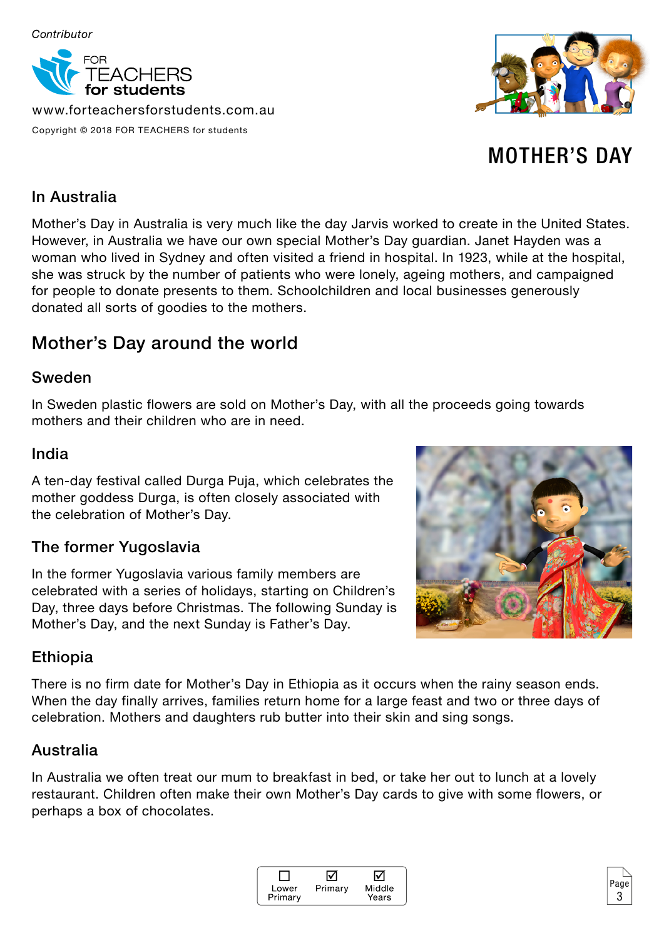

www.forteachersforstudents.com.au Copyright © 2018 FOR TEACHERS for students



# MOTHER'S DAY

### In Australia

Mother's Day in Australia is very much like the day Jarvis worked to create in the United States. However, in Australia we have our own special Mother's Day guardian. Janet Hayden was a woman who lived in Sydney and often visited a friend in hospital. In 1923, while at the hospital, she was struck by the number of patients who were lonely, ageing mothers, and campaigned for people to donate presents to them. Schoolchildren and local businesses generously donated all sorts of goodies to the mothers.

## Mother's Day around the world

#### Sweden

In Sweden plastic flowers are sold on Mother's Day, with all the proceeds going towards mothers and their children who are in need.

#### India

A ten-day festival called Durga Puja, which celebrates the mother goddess Durga, is often closely associated with the celebration of Mother's Day.

### The former Yugoslavia

In the former Yugoslavia various family members are celebrated with a series of holidays, starting on Children's Day, three days before Christmas. The following Sunday is Mother's Day, and the next Sunday is Father's Day.



### Ethiopia

There is no firm date for Mother's Day in Ethiopia as it occurs when the rainy season ends. When the day finally arrives, families return home for a large feast and two or three days of celebration. Mothers and daughters rub butter into their skin and sing songs.

#### Australia

In Australia we often treat our mum to breakfast in bed, or take her out to lunch at a lovely restaurant. Children often make their own Mother's Day cards to give with some flowers, or perhaps a box of chocolates.